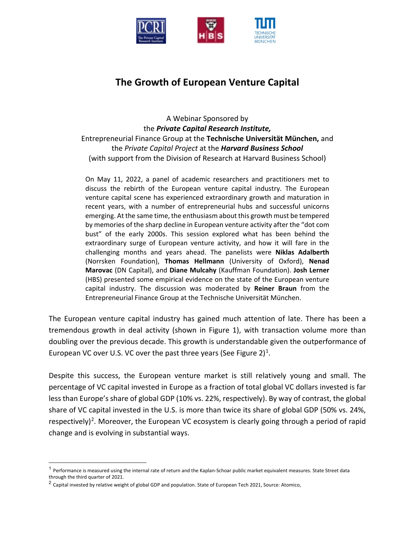

# **The Growth of European Venture Capital**

A Webinar Sponsored by the *Private Capital Research Institute,*  Entrepreneurial Finance Group at the **Technische Universität München,** and the *Private Capital Project* at the *Harvard Business School*  (with support from the Division of Research at Harvard Business School)

On May 11, 2022, a panel of academic researchers and practitioners met to discuss the rebirth of the European venture capital industry. The European venture capital scene has experienced extraordinary growth and maturation in recent years, with a number of entrepreneurial hubs and successful unicorns emerging. At the same time, the enthusiasm about this growth must be tempered by memories of the sharp decline in European venture activity after the "dot com bust" of the early 2000s. This session explored what has been behind the extraordinary surge of European venture activity, and how it will fare in the challenging months and years ahead. The panelists were **Niklas Adalberth** (Norrsken Foundation), **Thomas Hellmann** (University of Oxford), **Nenad Marovac** (DN Capital), and **Diane Mulcahy** (Kauffman Foundation). **Josh Lerner** (HBS) presented some empirical evidence on the state of the European venture capital industry. The discussion was moderated by **Reiner Braun** from the Entrepreneurial Finance Group at the Technische Universität München.

The European venture capital industry has gained much attention of late. There has been a tremendous growth in deal activity (shown in Figure 1), with transaction volume more than doubling over the previous decade. This growth is understandable given the outperformance of European VC over U.S. VC over the past three years (See Figure 2)<sup>[1](#page-0-0)</sup>.

Despite this success, the European venture market is still relatively young and small. The percentage of VC capital invested in Europe as a fraction of total global VC dollars invested is far less than Europe's share of global GDP (10% vs. 22%, respectively). By way of contrast, the global share of VC capital invested in the U.S. is more than twice its share of global GDP (50% vs. 24%, respectively)<sup>2</sup>. Moreover, the European VC ecosystem is clearly going through a period of rapid change and is evolving in substantial ways.

<span id="page-0-0"></span> $1$  Performance is measured using the internal rate of return and the Kaplan-Schoar public market equivalent measures. State Street data through the third quarter of 2021.

<span id="page-0-1"></span><sup>&</sup>lt;sup>2</sup> Capital invested by relative weight of global GDP and population. State of European Tech 2021, Source: Atomico,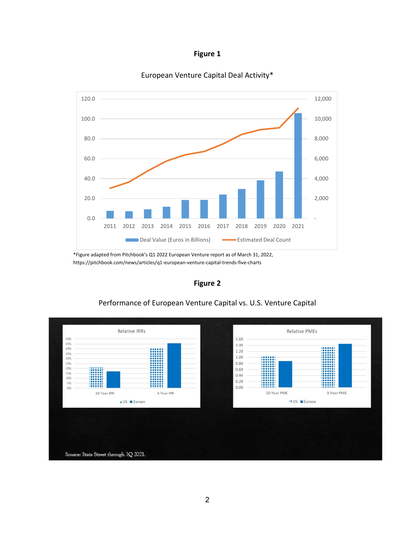| .our |  |
|------|--|
|      |  |



### European Venture Capital Deal Activity\*

\*Figure adapted from Pitchbook's Q1 2022 European Venture report as of March 31, 2022, https://pitchbook.com/news/articles/q1-european-venture-capital-trends-five-charts

**Figure 2**



## Performance of European Venture Capital vs. U.S. Venture Capital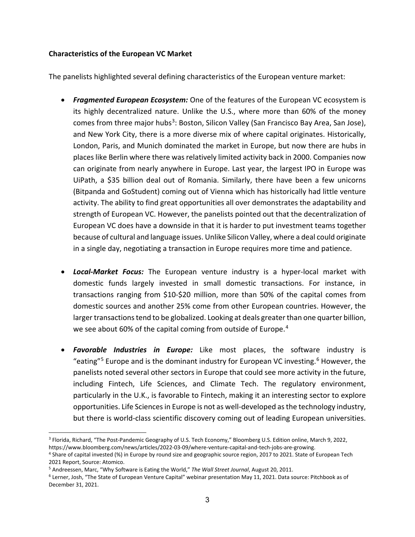#### **Characteristics of the European VC Market**

The panelists highlighted several defining characteristics of the European venture market:

- *Fragmented European Ecosystem:* One of the features of the European VC ecosystem is its highly decentralized nature. Unlike the U.S., where more than 60% of the money comes from three major hubs<sup>[3](#page-2-0)</sup>: Boston, Silicon Valley (San Francisco Bay Area, San Jose), and New York City, there is a more diverse mix of where capital originates. Historically, London, Paris, and Munich dominated the market in Europe, but now there are hubs in places like Berlin where there was relatively limited activity back in 2000. Companies now can originate from nearly anywhere in Europe. Last year, the largest IPO in Europe was UiPath, a \$35 billion deal out of Romania. Similarly, there have been a few unicorns (Bitpanda and GoStudent) coming out of Vienna which has historically had little venture activity. The ability to find great opportunities all over demonstrates the adaptability and strength of European VC. However, the panelists pointed out that the decentralization of European VC does have a downside in that it is harder to put investment teams together because of cultural and language issues. Unlike Silicon Valley, where a deal could originate in a single day, negotiating a transaction in Europe requires more time and patience.
- *Local-Market Focus:* The European venture industry is a hyper-local market with domestic funds largely invested in small domestic transactions. For instance, in transactions ranging from \$10-\$20 million, more than 50% of the capital comes from domestic sources and another 25% come from other European countries. However, the larger transactions tend to be globalized. Looking at deals greater than one quarter billion, we see about 60% of the capital coming from outside of Europe.<sup>[4](#page-2-1)</sup>
- *Favorable Industries in Europe:* Like most places, the software industry is "eating"<sup>[5](#page-2-2)</sup> Europe and is the dominant industry for European VC investing.<sup>[6](#page-2-3)</sup> However, the panelists noted several other sectors in Europe that could see more activity in the future, including Fintech, Life Sciences, and Climate Tech. The regulatory environment, particularly in the U.K., is favorable to Fintech, making it an interesting sector to explore opportunities. Life Sciencesin Europe is not as well-developed as the technology industry, but there is world-class scientific discovery coming out of leading European universities.

<span id="page-2-0"></span><sup>&</sup>lt;sup>3</sup> Florida, Richard, "The Post-Pandemic Geography of U.S. Tech Economy," Bloomberg U.S. Edition online, March 9, 2022, https://www.bloomberg.com/news/articles/2022-03-09/where-venture-capital-and-tech-jobs-are-growing.

<span id="page-2-1"></span><sup>4</sup> Share of capital invested (%) in Europe by round size and geographic source region, 2017 to 2021. State of European Tech 2021 Report, Source: Atomico.

<span id="page-2-2"></span><sup>5</sup> Andreessen, Marc, "Why Software is Eating the World," *The Wall Street Journal*, August 20, 2011.

<span id="page-2-3"></span><sup>6</sup> Lerner, Josh, "The State of European Venture Capital" webinar presentation May 11, 2021. Data source: Pitchbook as of December 31, 2021.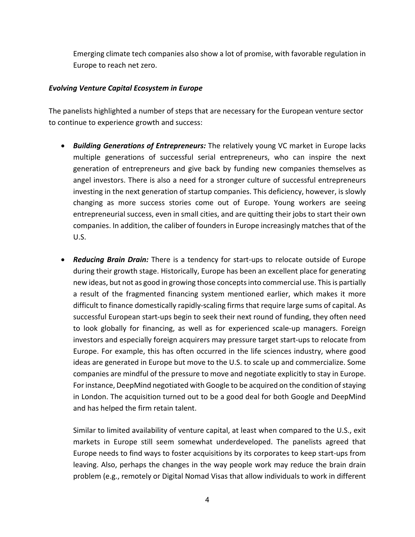Emerging climate tech companies also show a lot of promise, with favorable regulation in Europe to reach net zero.

#### *Evolving Venture Capital Ecosystem in Europe*

The panelists highlighted a number of steps that are necessary for the European venture sector to continue to experience growth and success:

- *Building Generations of Entrepreneurs:* The relatively young VC market in Europe lacks multiple generations of successful serial entrepreneurs, who can inspire the next generation of entrepreneurs and give back by funding new companies themselves as angel investors. There is also a need for a stronger culture of successful entrepreneurs investing in the next generation of startup companies. This deficiency, however, is slowly changing as more success stories come out of Europe. Young workers are seeing entrepreneurial success, even in small cities, and are quitting their jobs to start their own companies. In addition, the caliber of founders in Europe increasingly matches that of the U.S.
- *Reducing Brain Drain:* There is a tendency for start-ups to relocate outside of Europe during their growth stage. Historically, Europe has been an excellent place for generating new ideas, but not as good in growing those concepts into commercial use. This is partially a result of the fragmented financing system mentioned earlier, which makes it more difficult to finance domestically rapidly-scaling firms that require large sums of capital. As successful European start-ups begin to seek their next round of funding, they often need to look globally for financing, as well as for experienced scale-up managers. Foreign investors and especially foreign acquirers may pressure target start-ups to relocate from Europe. For example, this has often occurred in the life sciences industry, where good ideas are generated in Europe but move to the U.S. to scale up and commercialize. Some companies are mindful of the pressure to move and negotiate explicitly to stay in Europe. For instance, DeepMind negotiated with Google to be acquired on the condition of staying in London. The acquisition turned out to be a good deal for both Google and DeepMind and has helped the firm retain talent.

Similar to limited availability of venture capital, at least when compared to the U.S., exit markets in Europe still seem somewhat underdeveloped. The panelists agreed that Europe needs to find ways to foster acquisitions by its corporates to keep start-ups from leaving. Also, perhaps the changes in the way people work may reduce the brain drain problem (e.g., remotely or Digital Nomad Visas that allow individuals to work in different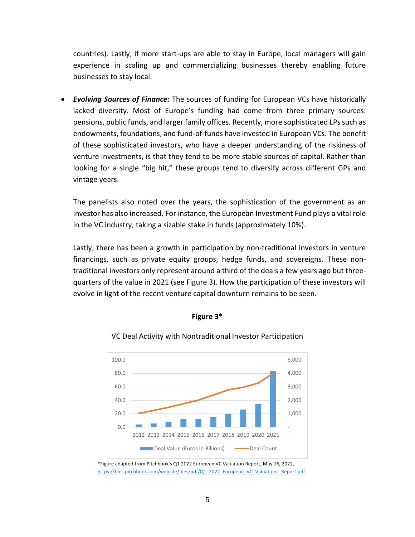countries). Lastly, if more start-ups are able to stay in Europe, local managers will gain experience in scaling up and commercializing businesses thereby enabling future businesses to stay local.

• *Evolving Sources of Finance:* The sources of funding for European VCs have historically lacked diversity. Most of Europe's funding had come from three primary sources: pensions, public funds, and larger family offices. Recently, more sophisticated LPs such as endowments, foundations, and fund-of-funds have invested in European VCs. The benefit of these sophisticated investors, who have a deeper understanding of the riskiness of venture investments, is that they tend to be more stable sources of capital. Rather than looking for a single "big hit," these groups tend to diversify across different GPs and vintage years.

The panelists also noted over the years, the sophistication of the government as an investor has also increased. For instance, the European Investment Fund plays a vital role in the VC industry, taking a sizable stake in funds (approximately 10%).

Lastly, there has been a growth in participation by non-traditional investors in venture financings, such as private equity groups, hedge funds, and sovereigns. These nontraditional investors only represent around a third of the deals a few years ago but threequarters of the value in 2021 (see Figure 3). How the participation of these investors will evolve in light of the recent venture capital downturn remains to be seen.



#### VC Deal Activity with Nontraditional Investor Participation

**Figure 3\***

\*Figure adapted from Pitchbook's Q1 2022 European VC Valuation Report, May 16, 2022, [https://files.pitchbook.com/website/files/pdf/Q1\\_2022\\_European\\_VC\\_Valuations\\_Report.pdf](https://files.pitchbook.com/website/files/pdf/Q1_2022_European_VC_Valuations_Report.pdf)